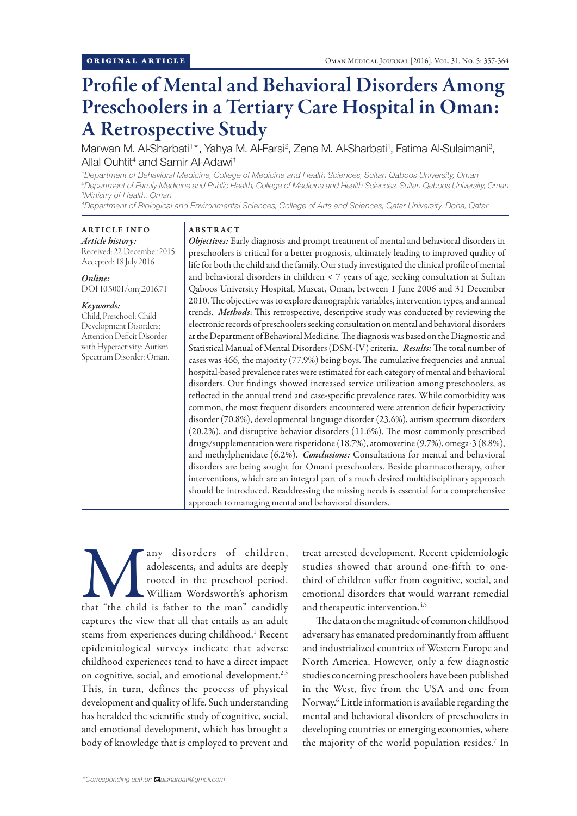# Profile of Mental and Behavioral Disorders Among Preschoolers in a Tertiary Care Hospital in Oman: A Retrospective Study

Marwan M. Al-Sharbati<sup>1\*</sup>, Yahya M. Al-Farsi<sup>2</sup>, Zena M. Al-Sharbati<sup>1</sup>, Fatima Al-Sulaimani<sup>3</sup>, Allal Ouhtit<sup>4</sup> and Samir Al-Adawi<sup>1</sup>

*1 Department of Behavioral Medicine, College of Medicine and Health Sciences, Sultan Qaboos University, Oman 2 Department of Family Medicine and Public Health, College of Medicine and Health Sciences, Sultan Qaboos University, Oman 3 Ministry of Health, Oman*

*4 Department of Biological and Environmental Sciences, College of Arts and Sciences, Qatar University, Doha, Qatar*

# ARTICLE INFO

*Article history:* Received: 22 December 2015 Accepted: 18 July 2016

### *Online:*

DOI 10.5001/omj.2016.71

#### *Keywords:*

Child, Preschool; Child Development Disorders; Attention Deficit Disorder with Hyperactivity; Autism Spectrum Disorder; Oman.

## ABSTRACT

*Objectives:* Early diagnosis and prompt treatment of mental and behavioral disorders in preschoolers is critical for a better prognosis, ultimately leading to improved quality of life for both the child and the family. Our study investigated the clinical profile of mental and behavioral disorders in children < 7 years of age, seeking consultation at Sultan Qaboos University Hospital, Muscat, Oman, between 1 June 2006 and 31 December 2010. The objective was to explore demographic variables, intervention types, and annual trends. *Methods*: This retrospective, descriptive study was conducted by reviewing the electronic records of preschoolers seeking consultation on mental and behavioral disorders at the Department of Behavioral Medicine. The diagnosis was based on the Diagnostic and Statistical Manual of Mental Disorders (DSM-IV) criteria. *Results:* The total number of cases was 466, the majority (77.9%) being boys. The cumulative frequencies and annual hospital-based prevalence rates were estimated for each category of mental and behavioral disorders. Our findings showed increased service utilization among preschoolers, as reflected in the annual trend and case-specific prevalence rates. While comorbidity was common, the most frequent disorders encountered were attention deficit hyperactivity disorder (70.8%), developmental language disorder (23.6%), autism spectrum disorders (20.2%), and disruptive behavior disorders (11.6%). The most commonly prescribed drugs/supplementation were risperidone (18.7%), atomoxetine (9.7%), omega-3 (8.8%), and methylphenidate (6.2%). *Conclusions:* Consultations for mental and behavioral disorders are being sought for Omani preschoolers. Beside pharmacotherapy, other interventions, which are an integral part of a much desired multidisciplinary approach should be introduced. Readdressing the missing needs is essential for a comprehensive approach to managing mental and behavioral disorders.

any disorders of children,<br>adolescents, and adults are deeply<br>rooted in the preschool period.<br>William Wordsworth's aphorism<br>that "the child is father to the man" candidly adolescents, and adults are deeply rooted in the preschool period. William Wordsworth's aphorism that "the child is father to the man" candidly captures the view that all that entails as an adult stems from experiences during childhood.<sup>1</sup> Recent epidemiological surveys indicate that adverse childhood experiences tend to have a direct impact on cognitive, social, and emotional development.<sup>2,3</sup> This, in turn, defines the process of physical development and quality of life. Such understanding has heralded the scientific study of cognitive, social, and emotional development, which has brought a body of knowledge that is employed to prevent and

treat arrested development. Recent epidemiologic studies showed that around one-fifth to onethird of children suffer from cognitive, social, and emotional disorders that would warrant remedial and therapeutic intervention.<sup>4,5</sup>

The data on the magnitude of common childhood adversary has emanated predominantly from affluent and industrialized countries of Western Europe and North America. However, only a few diagnostic studies concerning preschoolers have been published in the West, five from the USA and one from Norway.<sup>6</sup> Little information is available regarding the mental and behavioral disorders of preschoolers in developing countries or emerging economies, where the majority of the world population resides.7 In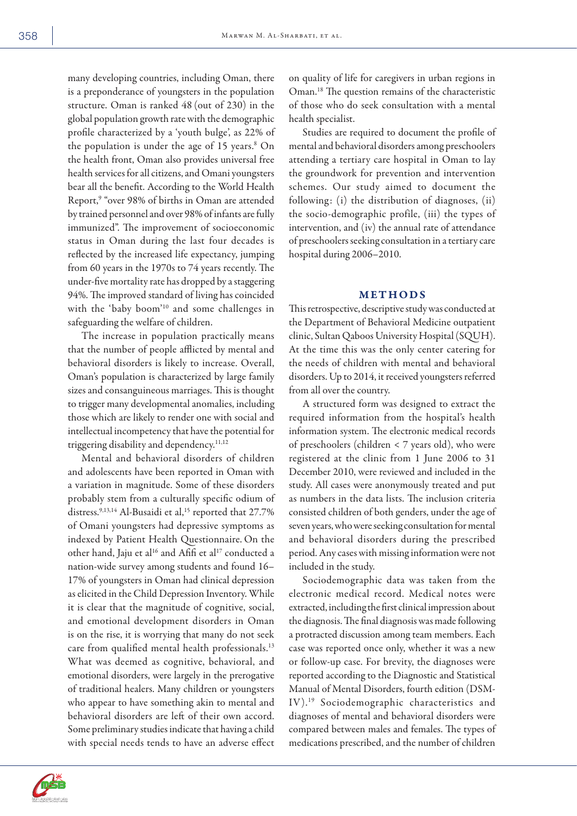many developing countries, including Oman, there is a preponderance of youngsters in the population structure. Oman is ranked 48 (out of 230) in the global population growth rate with the demographic profile characterized by a 'youth bulge', as 22% of the population is under the age of 15 years.<sup>8</sup> On the health front, Oman also provides universal free health services for all citizens, and Omani youngsters bear all the benefit. According to the World Health Report,9 "over 98% of births in Oman are attended by trained personnel and over 98% of infants are fully immunized". The improvement of socioeconomic status in Oman during the last four decades is reflected by the increased life expectancy, jumping from 60 years in the 1970s to 74 years recently. The under-five mortality rate has dropped by a staggering 94%. The improved standard of living has coincided with the 'baby boom'10 and some challenges in safeguarding the welfare of children.

The increase in population practically means that the number of people afflicted by mental and behavioral disorders is likely to increase. Overall, Oman's population is characterized by large family sizes and consanguineous marriages. This is thought to trigger many developmental anomalies, including those which are likely to render one with social and intellectual incompetency that have the potential for triggering disability and dependency.<sup>11,12</sup>

Mental and behavioral disorders of children and adolescents have been reported in Oman with a variation in magnitude. Some of these disorders probably stem from a culturally specific odium of distress.<sup>9,13,14</sup> Al-Busaidi et al,<sup>15</sup> reported that 27.7% of Omani youngsters had depressive symptoms as indexed by Patient Health Questionnaire. On the other hand, Jaju et al<sup>16</sup> and Afifi et al<sup>17</sup> conducted a nation-wide survey among students and found 16– 17% of youngsters in Oman had clinical depression as elicited in the Child Depression Inventory. While it is clear that the magnitude of cognitive, social, and emotional development disorders in Oman is on the rise, it is worrying that many do not seek care from qualified mental health professionals.<sup>13</sup> What was deemed as cognitive, behavioral, and emotional disorders, were largely in the prerogative of traditional healers. Many children or youngsters who appear to have something akin to mental and behavioral disorders are left of their own accord. Some preliminary studies indicate that having a child with special needs tends to have an adverse effect

on quality of life for caregivers in urban regions in Oman.18 The question remains of the characteristic of those who do seek consultation with a mental health specialist.

Studies are required to document the profile of mental and behavioral disorders among preschoolers attending a tertiary care hospital in Oman to lay the groundwork for prevention and intervention schemes. Our study aimed to document the following: (i) the distribution of diagnoses, (ii) the socio-demographic profile, (iii) the types of intervention, and (iv) the annual rate of attendance of preschoolers seeking consultation in a tertiary care hospital during 2006–2010.

## METHODS

This retrospective, descriptive study was conducted at the Department of Behavioral Medicine outpatient clinic, Sultan Qaboos University Hospital (SQUH). At the time this was the only center catering for the needs of children with mental and behavioral disorders. Up to 2014, it received youngsters referred from all over the country.

A structured form was designed to extract the required information from the hospital's health information system. The electronic medical records of preschoolers (children < 7 years old), who were registered at the clinic from 1 June 2006 to 31 December 2010, were reviewed and included in the study. All cases were anonymously treated and put as numbers in the data lists. The inclusion criteria consisted children of both genders, under the age of seven years, who were seeking consultation for mental and behavioral disorders during the prescribed period. Any cases with missing information were not included in the study.

Sociodemographic data was taken from the electronic medical record. Medical notes were extracted, including the first clinical impression about the diagnosis. The final diagnosis was made following a protracted discussion among team members. Each case was reported once only, whether it was a new or follow-up case. For brevity, the diagnoses were reported according to the Diagnostic and Statistical Manual of Mental Disorders, fourth edition (DSM-IV).19 Sociodemographic characteristics and diagnoses of mental and behavioral disorders were compared between males and females. The types of medications prescribed, and the number of children

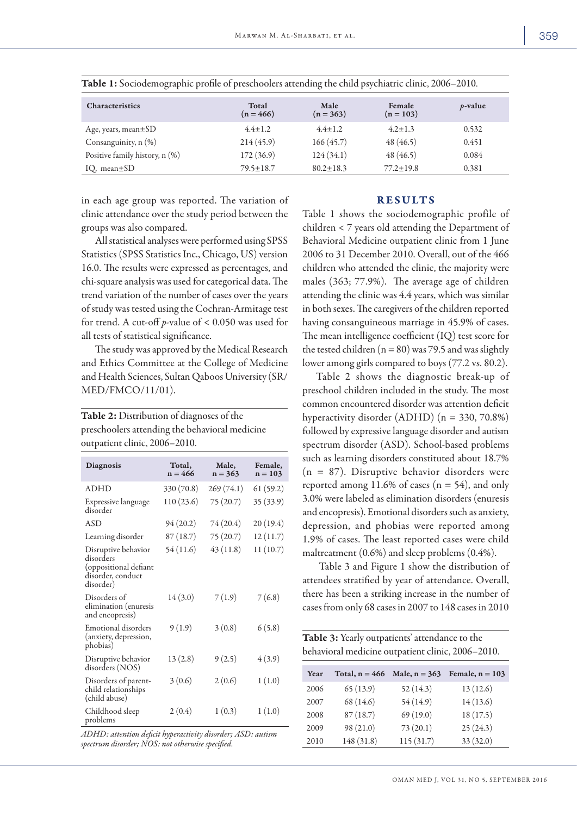| <b>Characteristics</b>         | Total<br>$(n = 466)$ | Male<br>$(n = 363)$ | Female<br>$(n = 103)$ | $p$ -value |
|--------------------------------|----------------------|---------------------|-----------------------|------------|
| Age, years, mean $\pm SD$      | $4.4 + 1.2$          | $4.4 + 1.2$         | $4.2 + 1.3$           | 0.532      |
| Consanguinity, $n$ $(\%)$      | 214(45.9)            | 166(45.7)           | 48(46.5)              | 0.451      |
| Positive family history, n (%) | 172(36.9)            | 124(34.1)           | 48(46.5)              | 0.084      |
| IQ, mean $\pm$ SD              | $79.5 \pm 18.7$      | $80.2 + 18.3$       | $77.2 + 19.8$         | 0.381      |

Table 1: Sociodemographic profile of preschoolers attending the child psychiatric clinic, 2006–2010.

in each age group was reported. The variation of clinic attendance over the study period between the groups was also compared.

All statistical analyses were performed using SPSS Statistics (SPSS Statistics Inc., Chicago, US) version 16.0. The results were expressed as percentages, and chi-square analysis was used for categorical data. The trend variation of the number of cases over the years of study was tested using the Cochran-Armitage test for trend. A cut-off *p*-value of < 0.050 was used for all tests of statistical significance.

The study was approved by the Medical Research and Ethics Committee at the College of Medicine and Health Sciences, Sultan Qaboos University (SR/ MED/FMCO/11/01).

Table 2: Distribution of diagnoses of the preschoolers attending the behavioral medicine outpatient clinic, 2006–2010.

| <b>Diagnosis</b>                                                                            | Total,<br>$n = 466$ | Male,<br>$n = 363$ | Female,<br>$n = 103$ |
|---------------------------------------------------------------------------------------------|---------------------|--------------------|----------------------|
|                                                                                             |                     |                    |                      |
| <b>ADHD</b>                                                                                 | 330 (70.8)          | 269(74.1)          | 61(59.2)             |
| Expressive language<br>disorder                                                             | 110(23.6)           | 75(20.7)           | 35 (33.9)            |
| <b>ASD</b>                                                                                  | 94 (20.2)           | 74 (20.4)          | 20(19.4)             |
| Learning disorder                                                                           | 87 (18.7)           | 75 (20.7)          | 12 (11.7)            |
| Disruptive behavior<br>disorders<br>(oppositional defiant<br>disorder, conduct<br>disorder) | 54 (11.6)           | 43(11.8)           | 11(10.7)             |
| Disorders of<br>elimination (enuresis<br>and encopresis)                                    | 14(3.0)             | 7(1.9)             | 7(6.8)               |
| <b>Emotional disorders</b><br>(anxiety, depression,<br>phobias)                             | 9(1.9)              | 3(0.8)             | 6(5.8)               |
| Disruptive behavior<br>disorders (NOS)                                                      | 13(2.8)             | 9(2.5)             | 4(3.9)               |
| Disorders of parent-<br>child relationships<br>(child abuse)                                | 3(0.6)              | 2(0.6)             | 1(1.0)               |
| Childhood sleep<br>problems                                                                 | 2(0.4)              | 1(0.3)             | 1(1.0)               |

*ADHD: attention deficit hyperactivity disorder; ASD: autism spectrum disorder; NOS: not otherwise specified.* 

## RESULTS

Table 1 shows the sociodemographic profile of children < 7 years old attending the Department of Behavioral Medicine outpatient clinic from 1 June 2006 to 31 December 2010. Overall, out of the 466 children who attended the clinic, the majority were males (363; 77.9%). The average age of children attending the clinic was 4.4 years, which was similar in both sexes. The caregivers of the children reported having consanguineous marriage in 45.9% of cases. The mean intelligence coefficient (IQ) test score for the tested children  $(n = 80)$  was 79.5 and was slightly lower among girls compared to boys (77.2 vs. 80.2).

Table 2 shows the diagnostic break-up of preschool children included in the study. The most common encountered disorder was attention deficit hyperactivity disorder (ADHD) (n = 330, 70.8%) followed by expressive language disorder and autism spectrum disorder (ASD). School-based problems such as learning disorders constituted about 18.7% (n = 87). Disruptive behavior disorders were reported among 11.6% of cases  $(n = 54)$ , and only 3.0% were labeled as elimination disorders (enuresis and encopresis). Emotional disorders such as anxiety, depression, and phobias were reported among 1.9% of cases. The least reported cases were child maltreatment (0.6%) and sleep problems (0.4%).

 Table 3 and Figure 1 show the distribution of attendees stratified by year of attendance. Overall, there has been a striking increase in the number of cases from only 68 cases in 2007 to 148 cases in 2010

| Table 3: Yearly outpatients' attendance to the    |
|---------------------------------------------------|
| behavioral medicine outpatient clinic, 2006-2010. |

| Year | Total, $n = 466$ Male, $n = 363$ |           | Female, $n = 103$ |
|------|----------------------------------|-----------|-------------------|
| 2006 | 65(13.9)                         | 52(14.3)  | 13(12.6)          |
| 2007 | 68 (14.6)                        | 54 (14.9) | 14(13.6)          |
| 2008 | 87(18.7)                         | 69(19.0)  | 18(17.5)          |
| 2009 | 98 (21.0)                        | 73(20.1)  | 25(24.3)          |
| 2010 | 148 (31.8)                       | 115(31.7) | 33(32.0)          |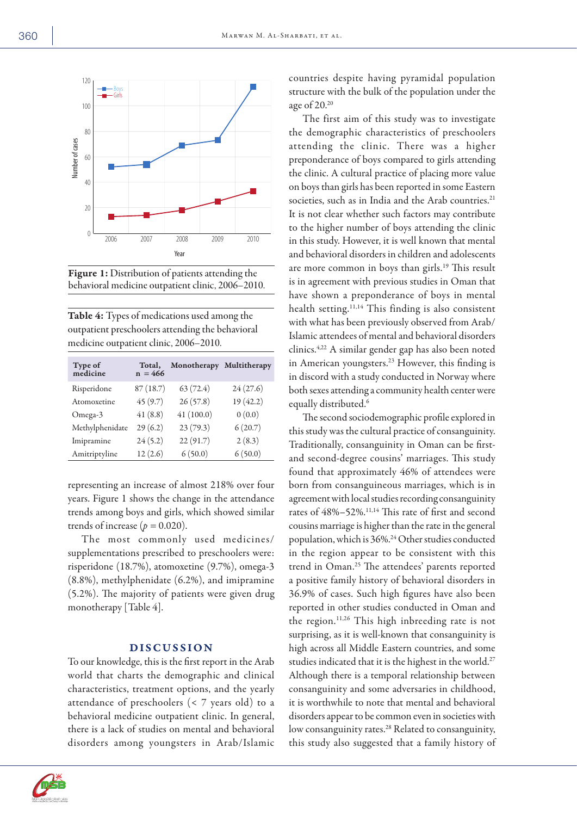

Figure 1: Distribution of patients attending the behavioral medicine outpatient clinic, 2006–2010.

Table 4: Types of medications used among the outpatient preschoolers attending the behavioral medicine outpatient clinic, 2006–2010.

| Type of<br>medicine | Total,<br>$n = 466$ | Monotherapy Multitherapy |           |
|---------------------|---------------------|--------------------------|-----------|
| Risperidone         | 87(18.7)            | 63(72.4)                 | 24(27.6)  |
| Atomoxetine         | 45(9.7)             | 26(57.8)                 | 19 (42.2) |
| Omega-3             | 41(8.8)             | 41(100.0)                | 0(0.0)    |
| Methylphenidate     | 29(6.2)             | 23(79.3)                 | 6(20.7)   |
| Imipramine          | 24(5.2)             | 22 (91.7)                | 2(8.3)    |
| Amitriptyline       | 12(2.6)             | 6(50.0)                  | 6(50.0)   |

representing an increase of almost 218% over four years. Figure 1 shows the change in the attendance trends among boys and girls, which showed similar trends of increase ( $p = 0.020$ ).

The most commonly used medicines/ supplementations prescribed to preschoolers were: risperidone (18.7%), atomoxetine (9.7%), omega-3 (8.8%), methylphenidate (6.2%), and imipramine (5.2%). The majority of patients were given drug monotherapy [Table 4].

## DISCUSSION

To our knowledge, this is the first report in the Arab world that charts the demographic and clinical characteristics, treatment options, and the yearly attendance of preschoolers (< 7 years old) to a behavioral medicine outpatient clinic. In general, there is a lack of studies on mental and behavioral disorders among youngsters in Arab/Islamic



countries despite having pyramidal population structure with the bulk of the population under the age of  $20.^{20}$ 

The first aim of this study was to investigate the demographic characteristics of preschoolers attending the clinic. There was a higher preponderance of boys compared to girls attending the clinic. A cultural practice of placing more value on boys than girls has been reported in some Eastern societies, such as in India and the Arab countries.<sup>21</sup> It is not clear whether such factors may contribute to the higher number of boys attending the clinic in this study. However, it is well known that mental and behavioral disorders in children and adolescents are more common in boys than girls.19 This result is in agreement with previous studies in Oman that have shown a preponderance of boys in mental health setting.11,14 This finding is also consistent with what has been previously observed from Arab/ Islamic attendees of mental and behavioral disorders clinics.4,22 A similar gender gap has also been noted in American youngsters.<sup>23</sup> However, this finding is in discord with a study conducted in Norway where both sexes attending a community health center were equally distributed.<sup>6</sup>

The second sociodemographic profile explored in this study was the cultural practice of consanguinity. Traditionally, consanguinity in Oman can be firstand second-degree cousins' marriages. This study found that approximately 46% of attendees were born from consanguineous marriages, which is in agreement with local studies recording consanguinity rates of 48%–52%.11,14 This rate of first and second cousins marriage is higher than the rate in the general population, which is 36%.24 Other studies conducted in the region appear to be consistent with this trend in Oman.<sup>25</sup> The attendees' parents reported a positive family history of behavioral disorders in 36.9% of cases. Such high figures have also been reported in other studies conducted in Oman and the region.11,26 This high inbreeding rate is not surprising, as it is well-known that consanguinity is high across all Middle Eastern countries, and some studies indicated that it is the highest in the world.<sup>27</sup> Although there is a temporal relationship between consanguinity and some adversaries in childhood, it is worthwhile to note that mental and behavioral disorders appear to be common even in societies with low consanguinity rates.<sup>28</sup> Related to consanguinity, this study also suggested that a family history of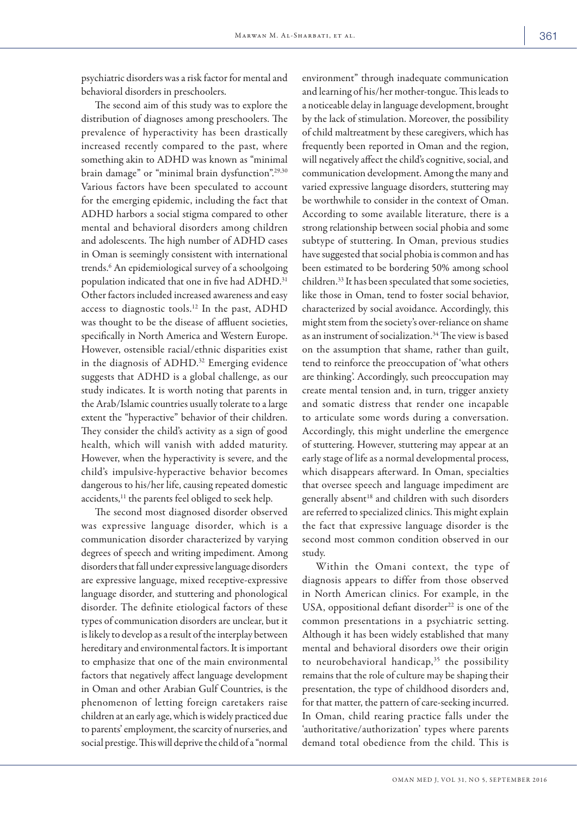psychiatric disorders was a risk factor for mental and behavioral disorders in preschoolers.

The second aim of this study was to explore the distribution of diagnoses among preschoolers. The prevalence of hyperactivity has been drastically increased recently compared to the past, where something akin to ADHD was known as "minimal brain damage" or "minimal brain dysfunction".29,30 Various factors have been speculated to account for the emerging epidemic, including the fact that ADHD harbors a social stigma compared to other mental and behavioral disorders among children and adolescents. The high number of ADHD cases in Oman is seemingly consistent with international trends.6 An epidemiological survey of a schoolgoing population indicated that one in five had ADHD.<sup>31</sup> Other factors included increased awareness and easy access to diagnostic tools.12 In the past, ADHD was thought to be the disease of affluent societies, specifically in North America and Western Europe. However, ostensible racial/ethnic disparities exist in the diagnosis of ADHD.32 Emerging evidence suggests that ADHD is a global challenge, as our study indicates. It is worth noting that parents in the Arab/Islamic countries usually tolerate to a large extent the "hyperactive" behavior of their children. They consider the child's activity as a sign of good health, which will vanish with added maturity. However, when the hyperactivity is severe, and the child's impulsive-hyperactive behavior becomes dangerous to his/her life, causing repeated domestic accidents,<sup>11</sup> the parents feel obliged to seek help.

The second most diagnosed disorder observed was expressive language disorder, which is a communication disorder characterized by varying degrees of speech and writing impediment. Among disorders that fall under expressive language disorders are expressive language, mixed receptive-expressive language disorder, and stuttering and phonological disorder. The definite etiological factors of these types of communication disorders are unclear, but it is likely to develop as a result of the interplay between hereditary and environmental factors. It is important to emphasize that one of the main environmental factors that negatively affect language development in Oman and other Arabian Gulf Countries, is the phenomenon of letting foreign caretakers raise children at an early age, which is widely practiced due to parents' employment, the scarcity of nurseries, and social prestige. This will deprive the child of a "normal environment" through inadequate communication and learning of his/her mother-tongue. This leads to a noticeable delay in language development, brought by the lack of stimulation. Moreover, the possibility of child maltreatment by these caregivers, which has frequently been reported in Oman and the region, will negatively affect the child's cognitive, social, and communication development. Among the many and varied expressive language disorders, stuttering may be worthwhile to consider in the context of Oman. According to some available literature, there is a strong relationship between social phobia and some subtype of stuttering. In Oman, previous studies have suggested that social phobia is common and has been estimated to be bordering 50% among school children.33 It has been speculated that some societies, like those in Oman, tend to foster social behavior, characterized by social avoidance. Accordingly, this might stem from the society's over-reliance on shame as an instrument of socialization.34 The view is based on the assumption that shame, rather than guilt, tend to reinforce the preoccupation of 'what others are thinking'. Accordingly, such preoccupation may create mental tension and, in turn, trigger anxiety and somatic distress that render one incapable to articulate some words during a conversation. Accordingly, this might underline the emergence of stuttering. However, stuttering may appear at an early stage of life as a normal developmental process, which disappears afterward. In Oman, specialties that oversee speech and language impediment are generally absent<sup>18</sup> and children with such disorders are referred to specialized clinics. This might explain the fact that expressive language disorder is the second most common condition observed in our study.

Within the Omani context, the type of diagnosis appears to differ from those observed in North American clinics. For example, in the USA, oppositional defiant disorder $22$  is one of the common presentations in a psychiatric setting. Although it has been widely established that many mental and behavioral disorders owe their origin to neurobehavioral handicap,<sup>35</sup> the possibility remains that the role of culture may be shaping their presentation, the type of childhood disorders and, for that matter, the pattern of care-seeking incurred. In Oman, child rearing practice falls under the 'authoritative/authorization' types where parents demand total obedience from the child. This is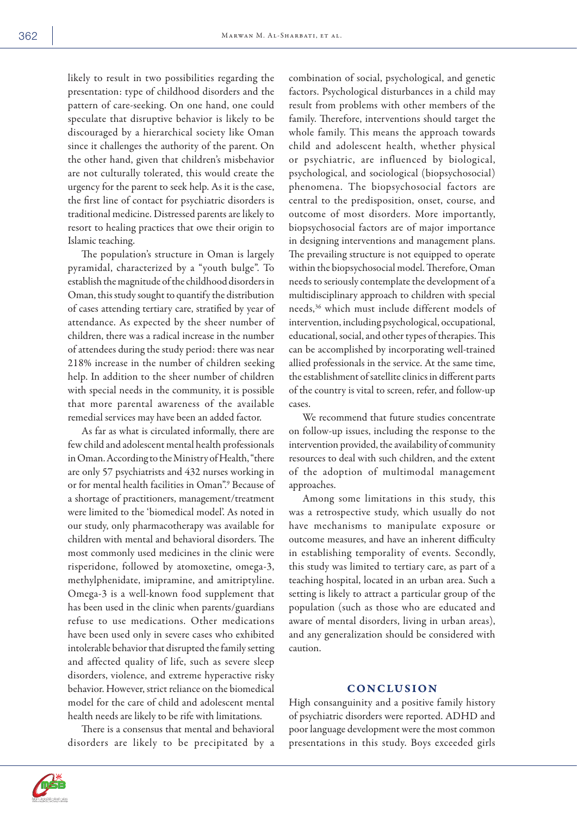likely to result in two possibilities regarding the presentation: type of childhood disorders and the pattern of care-seeking. On one hand, one could speculate that disruptive behavior is likely to be discouraged by a hierarchical society like Oman since it challenges the authority of the parent. On the other hand, given that children's misbehavior are not culturally tolerated, this would create the urgency for the parent to seek help. As it is the case, the first line of contact for psychiatric disorders is traditional medicine. Distressed parents are likely to resort to healing practices that owe their origin to Islamic teaching.

The population's structure in Oman is largely pyramidal, characterized by a "youth bulge". To establish the magnitude of the childhood disorders in Oman, this study sought to quantify the distribution of cases attending tertiary care, stratified by year of attendance. As expected by the sheer number of children, there was a radical increase in the number of attendees during the study period: there was near 218% increase in the number of children seeking help. In addition to the sheer number of children with special needs in the community, it is possible that more parental awareness of the available remedial services may have been an added factor.

As far as what is circulated informally, there are few child and adolescent mental health professionals in Oman. According to the Ministry of Health, "there are only 57 psychiatrists and 432 nurses working in or for mental health facilities in Oman".9 Because of a shortage of practitioners, management/treatment were limited to the 'biomedical model'. As noted in our study, only pharmacotherapy was available for children with mental and behavioral disorders. The most commonly used medicines in the clinic were risperidone, followed by atomoxetine, omega-3, methylphenidate, imipramine, and amitriptyline. Omega-3 is a well-known food supplement that has been used in the clinic when parents/guardians refuse to use medications. Other medications have been used only in severe cases who exhibited intolerable behavior that disrupted the family setting and affected quality of life, such as severe sleep disorders, violence, and extreme hyperactive risky behavior. However, strict reliance on the biomedical model for the care of child and adolescent mental health needs are likely to be rife with limitations.

There is a consensus that mental and behavioral disorders are likely to be precipitated by a combination of social, psychological, and genetic factors. Psychological disturbances in a child may result from problems with other members of the family. Therefore, interventions should target the whole family. This means the approach towards child and adolescent health, whether physical or psychiatric, are influenced by biological, psychological, and sociological (biopsychosocial) phenomena. The biopsychosocial factors are central to the predisposition, onset, course, and outcome of most disorders. More importantly, biopsychosocial factors are of major importance in designing interventions and management plans. The prevailing structure is not equipped to operate within the biopsychosocial model. Therefore, Oman needs to seriously contemplate the development of a multidisciplinary approach to children with special needs,36 which must include different models of intervention, including psychological, occupational, educational, social, and other types of therapies. This can be accomplished by incorporating well-trained allied professionals in the service. At the same time, the establishment of satellite clinics in different parts of the country is vital to screen, refer, and follow-up cases.

We recommend that future studies concentrate on follow-up issues, including the response to the intervention provided, the availability of community resources to deal with such children, and the extent of the adoption of multimodal management approaches.

Among some limitations in this study, this was a retrospective study, which usually do not have mechanisms to manipulate exposure or outcome measures, and have an inherent difficulty in establishing temporality of events. Secondly, this study was limited to tertiary care, as part of a teaching hospital, located in an urban area. Such a setting is likely to attract a particular group of the population (such as those who are educated and aware of mental disorders, living in urban areas), and any generalization should be considered with caution.

## **CONCLUSION**

High consanguinity and a positive family history of psychiatric disorders were reported. ADHD and poor language development were the most common presentations in this study. Boys exceeded girls

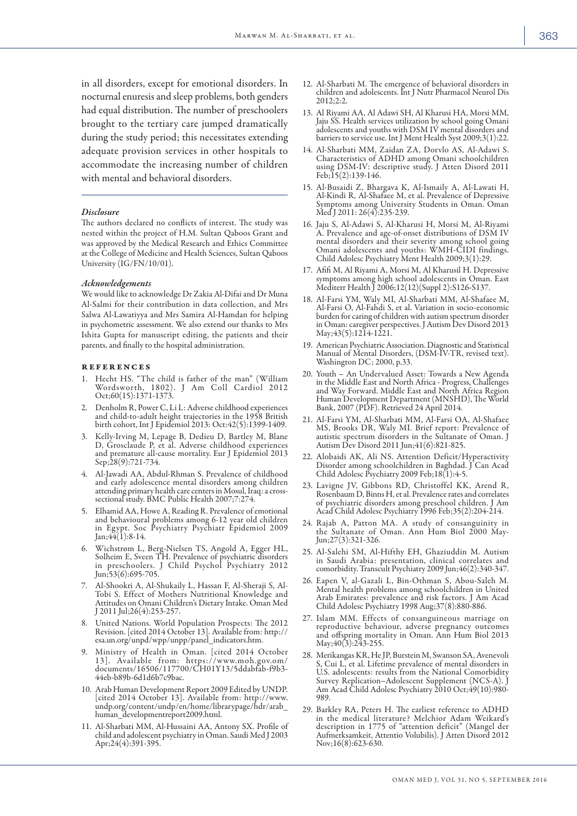in all disorders, except for emotional disorders. In nocturnal enuresis and sleep problems, both genders had equal distribution. The number of preschoolers brought to the tertiary care jumped dramatically during the study period; this necessitates extending adequate provision services in other hospitals to accommodate the increasing number of children with mental and behavioral disorders.

#### *Disclosure*

The authors declared no conflicts of interest. The study was nested within the project of H.M. Sultan Qaboos Grant and was approved by the Medical Research and Ethics Committee at the College of Medicine and Health Sciences, Sultan Qaboos University (IG/FN/10/01).

#### *Acknowledgements*

We would like to acknowledge Dr Zakia Al-Difai and Dr Muna Al-Salmi for their contribution in data collection, and Mrs Salwa Al-Lawatiyya and Mrs Samira Al-Hamdan for helping in psychometric assessment. We also extend our thanks to Mrs Ishita Gupta for manuscript editing, the patients and their parents, and finally to the hospital administration.

#### references

- 1. Hecht HS. "The child is father of the man" (William Wordsworth, 1802). J Am Coll Cardiol 2012 Oct;60(15):1371-1373.
- 2. Denholm R, Power C, Li L: Adverse childhood experiences and child-to-adult height trajectories in the 1958 British birth cohort, Int J Epidemiol 2013: Oct:42(5):1399-1409.
- 3. Kelly-Irving M, Lepage B, Dedieu D, Bartley M, Blane D, Grosclaude P, et al. Adverse childhood experiences and premature all-cause mortality. Eur J Epidemiol 2013 Sep;28(9):721-734.
- 4. Al-Jawadi AA, Abdul-Rhman S. Prevalence of childhood and early adolescence mental disorders among children attending primary health care centers in Mosul, Iraq: a crosssectional study. BMC Public Health 2007;7:274.
- 5. Elhamid AA, Howe A, Reading R. Prevalence of emotional and behavioural problems among 6-12 year old children in Eg ypt. Soc Psychiatry Psychiatr Epidemiol 2009 Jan;44(1):8-14.
- 6. Wichstrøm L, Berg-Nielsen TS, Angold A, Egger HL, Solheim E, Sveen TH. Prevalence of psychiatric disorders in preschoolers. J Child Psychol Psychiatry 2012 Jun;53(6):695-705.
- 7. Al-Shookri A, Al-Shukaily L, Hassan F, Al-Sheraji S, Al-Tobi S. Effect of Mothers Nutritional Knowledge and Attitudes on Omani Children's Dietary Intake. Oman Med J 2011 Jul;26(4):253-257.
- 8. United Nations. World Population Prospects: The 2012 Revision. [cited 2014 October 13]. Available from: http:// esa.un.org/unpd/wpp/unpp/panel\_indicators.htm.
- 9. Ministry of Health in Oman. [cited 2014 October 13]. Available from: https://www.moh.gov.om/ documents/16506/117700/CH01Y13/5ddabfab-f9b3- 44eb-b89b-6d1d6b7c9bac.
- 10. Arab Human Development Report 2009 Edited by UNDP. [cited 2014 October 13]. Available from: http://www. undp.org/content/undp/en/home/librarypage/hdr/arab\_ human\_developmentreport2009.html.
- 11. Al-Sharbati MM, Al-Hussaini AA, Antony SX. Profile of child and adolescent psychiatry in Oman. Saudi Med J 2003 Apr;24(4):391-395.
- 12. Al-Sharbati M. The emergence of behavioral disorders in children and adolescents. Int J Nutr Pharmacol Neurol Dis 2012;2:2.
- 13. Al Riyami AA, Al Adawi SH, Al Kharusi HA, Morsi MM, Jaju SS. Health services utilization by school going Omani adolescents and youths with DSM IV mental disorders and barriers to service use. Int J Ment Health Syst 2009;3(1):22.
- 14. Al-Sharbati MM, Zaidan ZA, Dorvlo AS, Al-Adawi S. Characteristics of ADHD among Omani schoolchildren using DSM-IV: descriptive study. J Atten Disord 2011 Feb;15(2):139-146.
- 15. Al-Busaidi Z, Bhargava K, Al-Ismaily A, Al-Lawati H, Al-Kindi R, Al-Shafaee M, et al. Prevalence of Depressive Symptoms among University Students in Oman. Oman Med J 2011: 26(4):235-239.
- 16. Jaju S, Al-Adawi S, Al-Kharusi H, Morsi M, Al-Riyami A. Prevalence and age-of-onset distributions of DSM IV mental disorders and their severity among school going Omani adolescents and youths: WMH-CIDI findings. Child Adolesc Psychiatry Ment Health 2009;3(1):29.
- 17. Afifi M, Al Riyami A, Morsi M, Al Kharusil H. Depressive symptoms among high school adolescents in Oman. East Mediterr Health J 2006;12(12)(Suppl 2):S126-S137.
- 18. Al-Farsi YM, Waly MI, Al-Sharbati MM, Al-Shafaee M, Al-Farsi O, Al-Fahdi S, et al. Variation in socio-economic burden for caring of children with autism spectrum disorder in Oman: caregiver perspectives. J Autism Dev Disord 2013 May;43(5):1214-1221.
- 19. American Psychiatric Association. Diagnostic and Statistical Manual of Mental Disorders, (DSM-IV-TR, revised text). Washington DC; 2000, p.33.
- 20. Youth An Undervalued Asset: Towards a New Agenda in the Middle East and North Africa - Progress, Challenges and Way Forward. Middle East and North Africa Region Human Development Department (MNSHD), The World Bank, 2007 (PDF). Retrieved 24 April 2014.
- 21. Al-Farsi YM, Al-Sharbati MM, Al-Farsi OA, Al-Shafaee MS, Brooks DR, Waly MI. Brief report: Prevalence of autistic spectrum disorders in the Sultanate of Oman. J Autism Dev Disord 2011 Jun;41(6):821-825.
- 22. Alobaidi AK, Ali NS. Attention Deficit/Hyperactivity Disorder among schoolchildren in Baghdad. J Can Acad Child Adolesc Psychiatry 2009 Feb;18(1):4-5.
- 23. Lavigne JV, Gibbons RD, Christoffel KK, Arend R, Rosenbaum D, Binns H, et al. Prevalence rates and correlates of psychiatric disorders among preschool children. J Am Acad Child Adolesc Psychiatry 1996 Feb;35(2):204-214.
- 24. Rajab A, Patton MA. A study of consanguinity in the Sultanate of Oman. Ann Hum Biol 2000 May-Jun;27(3):321-326.
- 25. Al-Salehi SM, Al-Hifthy EH, Ghaziuddin M. Autism in Saudi Arabia: presentation, clinical correlates and comorbidity. Transcult Psychiatry 2009 Jun;46(2):340-347.
- 26. Eapen V, al-Gazali L, Bin-Othman S, Abou-Saleh M. Mental health problems among schoolchildren in United Arab Emirates: prevalence and risk factors. J Am Acad Child Adolesc Psychiatry 1998 Aug;37(8):880-886.
- 27. Islam MM. Effects of consanguineous marriage on reproductive behaviour, adverse pregnancy outcomes and offspring mortality in Oman. Ann Hum Biol 2013 May;40(3):243-255.
- 28. Merikangas KR, He JP, Burstein M, Swanson SA, Avenevoli S, Cui L, et al. Lifetime prevalence of mental disorders in U.S. adolescents: results from the National Comorbidity Survey Replication–Adolescent Supplement (NCS-A). J Am Acad Child Adolesc Psychiatry 2010 Oct;49(10):980- 989.
- 29. Barkley RA, Peters H. The earliest reference to ADHD in the medical literature? Melchior Adam Weikard's description in 1775 of "attention deficit" (Mangel der Aufmerksamkeit, Attentio Volubilis). J Atten Disord 2012 Nov;16(8):623-630.